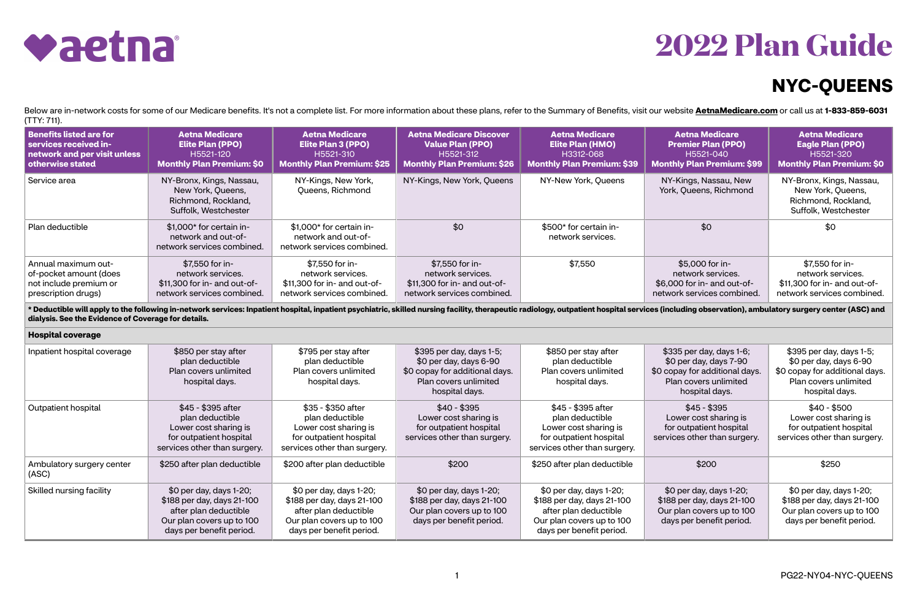## **2022 Plan Guide**

## **NYC-QUEENS**



Below are in-network costs for some of our Medicare benefits. It's not a complete list. For more information about these plans, refer to the Summary of Benefits, visit our website [AetnaMedicare.com](http://AetnaMedicare.com) or call us at 1-833-859-(TTY: 711).

| <b>Benefits listed are for</b> | <b>Aetna Medicare</b>                                                                        | <b>Aetna Medicare</b>                                                         | <b>Aetna Medicare Discover</b>    | <b>Aetna Medicare</b>                       | <b>Aetna Medicare</b>                           |
|--------------------------------|----------------------------------------------------------------------------------------------|-------------------------------------------------------------------------------|-----------------------------------|---------------------------------------------|-------------------------------------------------|
| services received in-          | <b>Elite Plan (PPO)</b>                                                                      | <b>Elite Plan 3 (PPO)</b>                                                     | <b>Value Plan (PPO)</b>           | <b>Elite Plan (HMO)</b>                     | <b>Premier Plan (PPO)</b>                       |
| network and per visit unless   | H5521-120                                                                                    | H5521-310                                                                     | H5521-312                         | H3312-068                                   | H5521-040                                       |
| otherwise stated               | <b>Monthly Plan Premium: \$0</b>                                                             | <b>Monthly Plan Premium: \$25</b>                                             | <b>Monthly Plan Premium: \$26</b> | <b>Monthly Plan Premium: \$39</b>           | <b>Monthly Plan Premium: \$</b>                 |
| Service area                   | NY-Bronx, Kings, Nassau,<br>New York, Queens,<br>Richmond, Rockland,<br>Suffolk, Westchester | NY-Kings, New York,<br>Queens, Richmond                                       | NY-Kings, New York, Queens        | NY-New York, Queens                         | NY-Kings, Nassau, New<br>York, Queens, Richmond |
| Plan deductible                | \$1,000* for certain in-<br>network and out-of-<br>network services combined.                | \$1,000* for certain in-<br>network and out-of-<br>network services combined. | \$0                               | \$500* for certain in-<br>network services. | \$0                                             |
| Annual maximum out-            | \$7,550 for in-                                                                              | \$7,550 for in-                                                               | \$7,550 for in-                   | \$7,550                                     | \$5,000 for in-                                 |
| of-pocket amount (does         | network services.                                                                            | network services.                                                             | network services.                 |                                             | network services.                               |
| not include premium or         | \$11,300 for in- and out-of-                                                                 | \$11,300 for in- and out-of-                                                  | \$11,300 for in- and out-of-      |                                             | \$6,000 for in- and out-of-                     |
| prescription drugs)            | network services combined.                                                                   | network services combined.                                                    | network services combined.        |                                             | network services combine                        |

\* Deductible will apply to the following in-network services: Inpatient hospital, inpatient psychiatric, skilled nursing facility, therapeutic radiology, outpatient hospital services (incl **dialysis. See the Evidence of Coverage for details.**

**Hospital coverage**

| <b>Aetna Medicare</b>                                           | <b>Aetna Medicare</b>                                                                        |
|-----------------------------------------------------------------|----------------------------------------------------------------------------------------------|
| <b>Premier Plan (PPO)</b>                                       | <b>Eagle Plan (PPO)</b>                                                                      |
| H5521-040                                                       | H5521-320                                                                                    |
| <b>Monthly Plan Premium: \$99</b>                               | <b>Monthly Plan Premium: \$0</b>                                                             |
| NY-Kings, Nassau, New<br>York, Queens, Richmond                 | NY-Bronx, Kings, Nassau,<br>New York, Queens,<br>Richmond, Rockland,<br>Suffolk, Westchester |
| \$0                                                             | \$0                                                                                          |
| \$5,000 for in-                                                 | \$7,550 for in-                                                                              |
| network services.                                               | network services.                                                                            |
| \$6,000 for in- and out-of-                                     | \$11,300 for in- and out-of-                                                                 |
| network services combined.                                      | network services combined.                                                                   |
| es (including observation), ambulatory surgery center (ASC) and |                                                                                              |
|                                                                 |                                                                                              |
| \$335 per day, days 1-6;                                        | \$395 per day, days 1-5;                                                                     |
| \$0 per day, days 7-90                                          | \$0 per day, days 6-90                                                                       |
| \$0 copay for additional days.                                  | \$0 copay for additional days.                                                               |
| Plan covers unlimited                                           | Plan covers unlimited                                                                        |
| hospital days.                                                  | hospital days.                                                                               |
| $$45 - $395$                                                    | $$40 - $500$                                                                                 |
| Lower cost sharing is                                           | Lower cost sharing is                                                                        |
| for outpatient hospital                                         | for outpatient hospital                                                                      |
| services other than surgery.                                    | services other than surgery.                                                                 |
| \$200                                                           | \$250                                                                                        |
| \$0 per day, days 1-20;                                         | \$0 per day, days 1-20;                                                                      |
| \$188 per day, days 21-100                                      | \$188 per day, days 21-100                                                                   |
| Our plan covers up to 100                                       | Our plan covers up to 100                                                                    |
| days per benefit period.                                        | days per benefit period.                                                                     |

| Inpatient hospital coverage        | \$850 per stay after<br>plan deductible<br>Plan covers unlimited<br>hospital days.                                                      | \$795 per stay after<br>plan deductible<br>Plan covers unlimited<br>hospital days.                                                      | \$395 per day, days 1-5;<br>$$0$ per day, days 6-90<br>\$0 copay for additional days.<br>Plan covers unlimited<br>hospital days. | \$850 per stay after<br>plan deductible<br>Plan covers unlimited<br>hospital days.                                                      | \$335 per day, days 1-6;<br>\$0 per day, days 7-90<br>\$0 copay for additional days.<br>Plan covers unlimited<br>hospital days. | \$395 per day,<br>\$0 per day, da<br>\$0 copay for add<br>Plan covers u<br>hospital c |
|------------------------------------|-----------------------------------------------------------------------------------------------------------------------------------------|-----------------------------------------------------------------------------------------------------------------------------------------|----------------------------------------------------------------------------------------------------------------------------------|-----------------------------------------------------------------------------------------------------------------------------------------|---------------------------------------------------------------------------------------------------------------------------------|---------------------------------------------------------------------------------------|
| Outpatient hospital                | \$45 - \$395 after<br>plan deductible<br>Lower cost sharing is<br>for outpatient hospital<br>services other than surgery.               | \$35 - \$350 after<br>plan deductible<br>Lower cost sharing is<br>for outpatient hospital<br>services other than surgery.               | $$40 - $395$<br>Lower cost sharing is<br>for outpatient hospital<br>services other than surgery.                                 | \$45 - \$395 after<br>plan deductible<br>Lower cost sharing is<br>for outpatient hospital<br>services other than surgery.               | $$45 - $395$<br>Lower cost sharing is<br>for outpatient hospital<br>services other than surgery.                                | $$40 - $5$<br>Lower cost sl<br>for outpatient<br>services other th                    |
| Ambulatory surgery center<br>(ASC) | \$250 after plan deductible                                                                                                             | \$200 after plan deductible                                                                                                             | \$200                                                                                                                            | \$250 after plan deductible                                                                                                             | \$200                                                                                                                           | \$250                                                                                 |
| Skilled nursing facility           | \$0 per day, days 1-20;<br>\$188 per day, days 21-100<br>after plan deductible<br>Our plan covers up to 100<br>days per benefit period. | \$0 per day, days 1-20;<br>\$188 per day, days 21-100<br>after plan deductible<br>Our plan covers up to 100<br>days per benefit period. | \$0 per day, days 1-20;<br>\$188 per day, days 21-100<br>Our plan covers up to 100<br>days per benefit period.                   | \$0 per day, days 1-20;<br>\$188 per day, days 21-100<br>after plan deductible<br>Our plan covers up to 100<br>days per benefit period. | \$0 per day, days 1-20;<br>\$188 per day, days 21-100<br>Our plan covers up to 100<br>days per benefit period.                  | \$0 per day, da<br>\$188 per day, d<br>Our plan covers<br>days per bene               |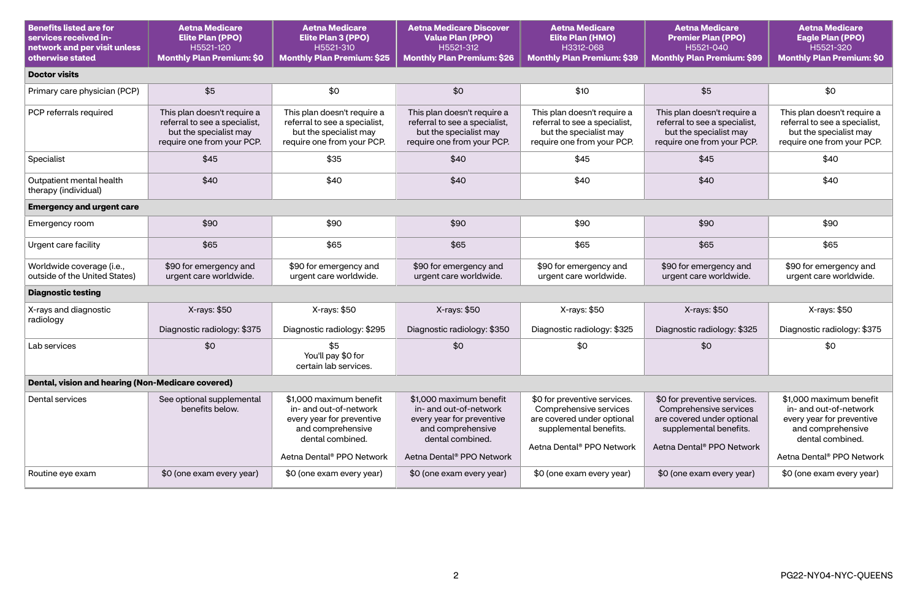| <b>Benefits listed are for</b><br>services received in-<br>network and per visit unless<br>otherwise stated | <b>Aetna Medicare</b><br><b>Elite Plan (PPO)</b><br>H5521-120<br><b>Monthly Plan Premium: \$0</b>                    | <b>Aetna Medicare</b><br>Elite Plan 3 (PPO)<br>H5521-310<br><b>Monthly Plan Premium: \$25</b>                           | <b>Aetna Medicare Discover</b><br><b>Value Plan (PPO)</b><br>H5521-312<br><b>Monthly Plan Premium: \$26</b>             | <b>Aetna Medicare</b><br><b>Elite Plan (HMO)</b><br>H3312-068<br><b>Monthly Plan Premium: \$39</b>                                                      | <b>Aetna Medicare</b><br><b>Premier Plan (PPO)</b><br>H5521-040<br><b>Monthly Plan Premium: \$99</b>                                                    | <b>Aetna Medicare</b><br><b>Eagle Plan (PPO)</b><br>H5521-320<br><b>Monthly Plan Premium: \$0</b>                       |  |  |
|-------------------------------------------------------------------------------------------------------------|----------------------------------------------------------------------------------------------------------------------|-------------------------------------------------------------------------------------------------------------------------|-------------------------------------------------------------------------------------------------------------------------|---------------------------------------------------------------------------------------------------------------------------------------------------------|---------------------------------------------------------------------------------------------------------------------------------------------------------|-------------------------------------------------------------------------------------------------------------------------|--|--|
| <b>Doctor visits</b>                                                                                        |                                                                                                                      |                                                                                                                         |                                                                                                                         |                                                                                                                                                         |                                                                                                                                                         |                                                                                                                         |  |  |
| Primary care physician (PCP)                                                                                | \$5                                                                                                                  | \$0                                                                                                                     | \$0                                                                                                                     | \$10                                                                                                                                                    | \$5                                                                                                                                                     | \$0                                                                                                                     |  |  |
| PCP referrals required                                                                                      | This plan doesn't require a<br>referral to see a specialist,<br>but the specialist may<br>require one from your PCP. | This plan doesn't require a<br>referral to see a specialist,<br>but the specialist may<br>require one from your PCP.    | This plan doesn't require a<br>referral to see a specialist,<br>but the specialist may<br>require one from your PCP.    | This plan doesn't require a<br>referral to see a specialist,<br>but the specialist may<br>require one from your PCP.                                    | This plan doesn't require a<br>referral to see a specialist,<br>but the specialist may<br>require one from your PCP.                                    | This plan doesn't require a<br>referral to see a specialist,<br>but the specialist may<br>require one from your PCP.    |  |  |
| Specialist                                                                                                  | \$45                                                                                                                 | \$35                                                                                                                    | \$40                                                                                                                    | \$45                                                                                                                                                    | \$45                                                                                                                                                    | \$40                                                                                                                    |  |  |
| Outpatient mental health<br>therapy (individual)                                                            | \$40                                                                                                                 | \$40                                                                                                                    | \$40                                                                                                                    | \$40                                                                                                                                                    | \$40                                                                                                                                                    | \$40                                                                                                                    |  |  |
| <b>Emergency and urgent care</b>                                                                            |                                                                                                                      |                                                                                                                         |                                                                                                                         |                                                                                                                                                         |                                                                                                                                                         |                                                                                                                         |  |  |
| Emergency room                                                                                              | \$90                                                                                                                 | \$90                                                                                                                    | \$90                                                                                                                    | \$90                                                                                                                                                    | \$90                                                                                                                                                    | \$90                                                                                                                    |  |  |
| Urgent care facility                                                                                        | \$65                                                                                                                 | \$65                                                                                                                    | \$65                                                                                                                    | \$65                                                                                                                                                    | \$65                                                                                                                                                    | \$65                                                                                                                    |  |  |
| Worldwide coverage (i.e.,<br>outside of the United States)                                                  | \$90 for emergency and<br>urgent care worldwide.                                                                     | \$90 for emergency and<br>urgent care worldwide.                                                                        | \$90 for emergency and<br>urgent care worldwide.                                                                        | \$90 for emergency and<br>urgent care worldwide.                                                                                                        | \$90 for emergency and<br>urgent care worldwide.                                                                                                        | \$90 for emergency and<br>urgent care worldwide.                                                                        |  |  |
| <b>Diagnostic testing</b>                                                                                   |                                                                                                                      |                                                                                                                         |                                                                                                                         |                                                                                                                                                         |                                                                                                                                                         |                                                                                                                         |  |  |
| X-rays and diagnostic<br>radiology                                                                          | X-rays: \$50                                                                                                         | X-rays: \$50                                                                                                            | X-rays: \$50                                                                                                            | X-rays: \$50                                                                                                                                            | X-rays: \$50                                                                                                                                            | X-rays: \$50                                                                                                            |  |  |
|                                                                                                             | Diagnostic radiology: \$375                                                                                          | Diagnostic radiology: \$295                                                                                             | Diagnostic radiology: \$350                                                                                             | Diagnostic radiology: \$325                                                                                                                             | Diagnostic radiology: \$325                                                                                                                             | Diagnostic radiology: \$375                                                                                             |  |  |
| Lab services                                                                                                | \$0                                                                                                                  | \$5<br>You'll pay \$0 for<br>certain lab services.                                                                      | \$0                                                                                                                     | \$0                                                                                                                                                     | \$0                                                                                                                                                     | \$0                                                                                                                     |  |  |
| Dental, vision and hearing (Non-Medicare covered)                                                           |                                                                                                                      |                                                                                                                         |                                                                                                                         |                                                                                                                                                         |                                                                                                                                                         |                                                                                                                         |  |  |
| Dental services                                                                                             | See optional supplemental<br>benefits below.                                                                         | \$1,000 maximum benefit<br>in- and out-of-network<br>every year for preventive<br>and comprehensive<br>dental combined. | \$1,000 maximum benefit<br>in- and out-of-network<br>every year for preventive<br>and comprehensive<br>dental combined. | \$0 for preventive services.<br>Comprehensive services<br>are covered under optional<br>supplemental benefits.<br>Aetna Dental <sup>®</sup> PPO Network | \$0 for preventive services.<br>Comprehensive services<br>are covered under optional<br>supplemental benefits.<br>Aetna Dental <sup>®</sup> PPO Network | \$1,000 maximum benefit<br>in- and out-of-network<br>every year for preventive<br>and comprehensive<br>dental combined. |  |  |
|                                                                                                             |                                                                                                                      | Aetna Dental <sup>®</sup> PPO Network                                                                                   | Aetna Dental <sup>®</sup> PPO Network                                                                                   |                                                                                                                                                         |                                                                                                                                                         | Aetna Dental <sup>®</sup> PPO Network                                                                                   |  |  |
| Routine eye exam                                                                                            | \$0 (one exam every year)                                                                                            | \$0 (one exam every year)                                                                                               | \$0 (one exam every year)                                                                                               | \$0 (one exam every year)                                                                                                                               | \$0 (one exam every year)                                                                                                                               | \$0 (one exam every year)                                                                                               |  |  |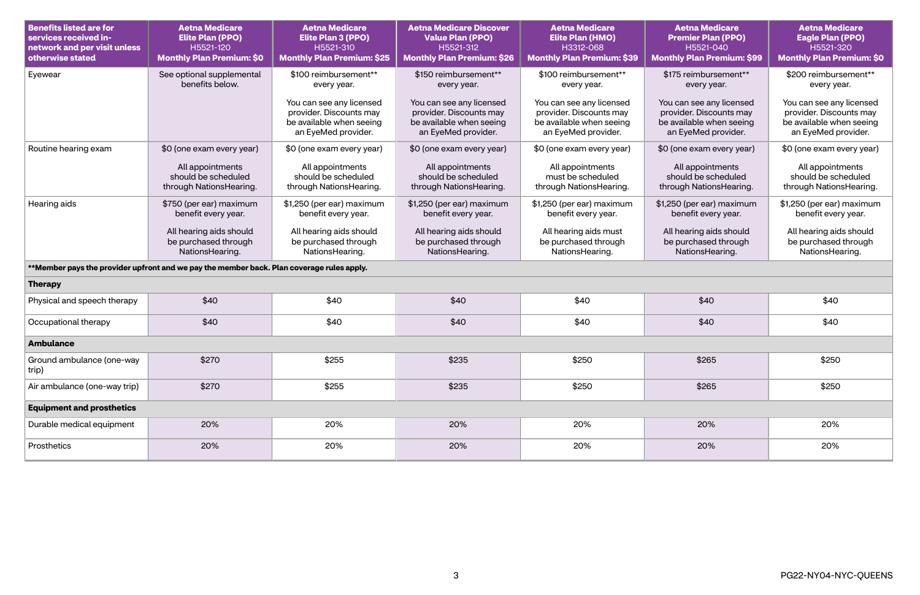| <b>Benefits listed are for</b><br>services received in-<br>network and per visit unless<br>otherwise stated | <b>Aetna Medicare</b><br><b>Elite Plan (PPO)</b><br>H5521-120<br><b>Monthly Plan Premium: \$0</b> | <b>Aetna Medicare</b><br><b>Elite Plan 3 (PPO)</b><br>H5521-310<br><b>Monthly Plan Premium: \$25</b>   | <b>Aetna Medicare Discover</b><br><b>Value Plan (PPO)</b><br>H5521-312<br><b>Monthly Plan Premium: \$26</b> | <b>Aetna Medicare</b><br><b>Elite Plan (HMO)</b><br>H3312-068<br><b>Monthly Plan Premium: \$39</b>     | <b>Aetna Medicare</b><br><b>Premier Plan (PPO)</b><br>H5521-040<br><b>Monthly Plan Premium: \$99</b>   | <b>Aetna Medicare</b><br><b>Eagle Plan (PPO)</b><br>H5521-320<br><b>Monthly Plan Premium: \$0</b>      |  |  |
|-------------------------------------------------------------------------------------------------------------|---------------------------------------------------------------------------------------------------|--------------------------------------------------------------------------------------------------------|-------------------------------------------------------------------------------------------------------------|--------------------------------------------------------------------------------------------------------|--------------------------------------------------------------------------------------------------------|--------------------------------------------------------------------------------------------------------|--|--|
| Eyewear                                                                                                     | See optional supplemental<br>benefits below.                                                      | \$100 reimbursement**<br>every year.                                                                   | \$150 reimbursement**<br>every year.                                                                        | \$100 reimbursement**<br>every year.                                                                   | \$175 reimbursement**<br>every year.                                                                   | \$200 reimbursement**<br>every year.                                                                   |  |  |
|                                                                                                             |                                                                                                   | You can see any licensed<br>provider. Discounts may<br>be available when seeing<br>an EyeMed provider. | You can see any licensed<br>provider. Discounts may<br>be available when seeing<br>an EyeMed provider.      | You can see any licensed<br>provider. Discounts may<br>be available when seeing<br>an EyeMed provider. | You can see any licensed<br>provider. Discounts may<br>be available when seeing<br>an EyeMed provider. | You can see any licensed<br>provider. Discounts may<br>be available when seeing<br>an EyeMed provider. |  |  |
| Routine hearing exam                                                                                        | \$0 (one exam every year)                                                                         | \$0 (one exam every year)                                                                              | \$0 (one exam every year)                                                                                   | \$0 (one exam every year)                                                                              | \$0 (one exam every year)                                                                              | \$0 (one exam every year)                                                                              |  |  |
|                                                                                                             | All appointments<br>should be scheduled<br>through NationsHearing.                                | All appointments<br>should be scheduled<br>through NationsHearing.                                     | All appointments<br>should be scheduled<br>through NationsHearing.                                          | All appointments<br>must be scheduled<br>through NationsHearing.                                       | All appointments<br>should be scheduled<br>through NationsHearing.                                     | All appointments<br>should be scheduled<br>through NationsHearing.                                     |  |  |
| Hearing aids                                                                                                | \$750 (per ear) maximum<br>benefit every year.                                                    | \$1,250 (per ear) maximum<br>benefit every year.                                                       | \$1,250 (per ear) maximum<br>benefit every year.                                                            | \$1,250 (per ear) maximum<br>benefit every year.                                                       | \$1,250 (per ear) maximum<br>benefit every year.                                                       | \$1,250 (per ear) maximum<br>benefit every year.                                                       |  |  |
|                                                                                                             | All hearing aids should<br>be purchased through<br>NationsHearing.                                | All hearing aids should<br>be purchased through<br>NationsHearing.                                     | All hearing aids should<br>be purchased through<br>NationsHearing.                                          | All hearing aids must<br>be purchased through<br>NationsHearing.                                       | All hearing aids should<br>be purchased through<br>NationsHearing.                                     | All hearing aids should<br>be purchased through<br>NationsHearing.                                     |  |  |
|                                                                                                             | **Member pays the provider upfront and we pay the member back. Plan coverage rules apply.         |                                                                                                        |                                                                                                             |                                                                                                        |                                                                                                        |                                                                                                        |  |  |
| <b>Therapy</b>                                                                                              |                                                                                                   |                                                                                                        |                                                                                                             |                                                                                                        |                                                                                                        |                                                                                                        |  |  |
| Physical and speech therapy                                                                                 | \$40                                                                                              | \$40                                                                                                   | \$40                                                                                                        | \$40                                                                                                   | \$40                                                                                                   | \$40                                                                                                   |  |  |
| Occupational therapy                                                                                        | \$40                                                                                              | \$40                                                                                                   | \$40                                                                                                        | \$40                                                                                                   | \$40                                                                                                   | \$40                                                                                                   |  |  |
| <b>Ambulance</b>                                                                                            |                                                                                                   |                                                                                                        |                                                                                                             |                                                                                                        |                                                                                                        |                                                                                                        |  |  |
| Ground ambulance (one-way<br>trip)                                                                          | \$270                                                                                             | \$255                                                                                                  | \$235                                                                                                       | \$250                                                                                                  | \$265                                                                                                  | \$250                                                                                                  |  |  |
| Air ambulance (one-way trip)                                                                                | \$270                                                                                             | \$255                                                                                                  | \$235                                                                                                       | \$250                                                                                                  | \$265                                                                                                  | \$250                                                                                                  |  |  |
| <b>Equipment and prosthetics</b>                                                                            |                                                                                                   |                                                                                                        |                                                                                                             |                                                                                                        |                                                                                                        |                                                                                                        |  |  |
| Durable medical equipment                                                                                   | 20%                                                                                               | 20%                                                                                                    | 20%                                                                                                         | 20%                                                                                                    | 20%                                                                                                    | 20%                                                                                                    |  |  |
| Prosthetics                                                                                                 | 20%                                                                                               | 20%                                                                                                    | 20%                                                                                                         | 20%                                                                                                    | 20%                                                                                                    | 20%                                                                                                    |  |  |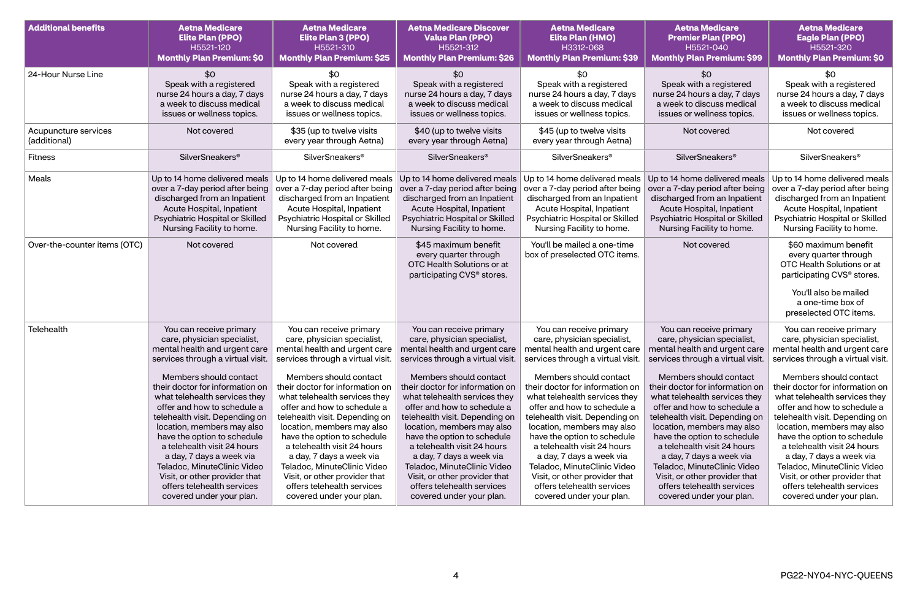| <b>Additional benefits</b>           | <b>Aetna Medicare</b><br><b>Elite Plan (PPO)</b><br>H5521-120<br><b>Monthly Plan Premium: \$0</b>                                                                                                                                                                                                                                                                                                                                                                                                                                             | <b>Aetna Medicare</b><br><b>Elite Plan 3 (PPO)</b><br>H5521-310<br><b>Monthly Plan Premium: \$25</b>                                                                                                                                                                                                                                                                                                                                                                                                     | <b>Aetna Medicare Discover</b><br><b>Value Plan (PPO)</b><br>H5521-312<br><b>Monthly Plan Premium: \$26</b>                                                                                                                                                                                                                                                                                                                                                                                                                                                                                                           | <b>Aetna Medicare</b><br><b>Elite Plan (HMO)</b><br>H3312-068<br><b>Monthly Plan Premium: \$39</b>                                                                                                                                                                                                                                                                                                                                                                                                       | <b>Aetna Medicare</b><br><b>Premier Plan (PPO)</b><br>H5521-040<br><b>Monthly Plan Premium: \$99</b>                                                                                                                                                                                                                                                                                                                                                                                                                                                                              | <b>Aetna Medicare</b><br><b>Eagle Plan (PPO)</b><br>H5521-320<br><b>Monthly Plan Premium: \$0</b>                                                                                                                                                                                                                                                                                                                                                                                                        |
|--------------------------------------|-----------------------------------------------------------------------------------------------------------------------------------------------------------------------------------------------------------------------------------------------------------------------------------------------------------------------------------------------------------------------------------------------------------------------------------------------------------------------------------------------------------------------------------------------|----------------------------------------------------------------------------------------------------------------------------------------------------------------------------------------------------------------------------------------------------------------------------------------------------------------------------------------------------------------------------------------------------------------------------------------------------------------------------------------------------------|-----------------------------------------------------------------------------------------------------------------------------------------------------------------------------------------------------------------------------------------------------------------------------------------------------------------------------------------------------------------------------------------------------------------------------------------------------------------------------------------------------------------------------------------------------------------------------------------------------------------------|----------------------------------------------------------------------------------------------------------------------------------------------------------------------------------------------------------------------------------------------------------------------------------------------------------------------------------------------------------------------------------------------------------------------------------------------------------------------------------------------------------|-----------------------------------------------------------------------------------------------------------------------------------------------------------------------------------------------------------------------------------------------------------------------------------------------------------------------------------------------------------------------------------------------------------------------------------------------------------------------------------------------------------------------------------------------------------------------------------|----------------------------------------------------------------------------------------------------------------------------------------------------------------------------------------------------------------------------------------------------------------------------------------------------------------------------------------------------------------------------------------------------------------------------------------------------------------------------------------------------------|
| 24-Hour Nurse Line                   | \$0<br>Speak with a registered<br>nurse 24 hours a day, 7 days<br>a week to discuss medical<br>issues or wellness topics.                                                                                                                                                                                                                                                                                                                                                                                                                     | \$0<br>Speak with a registered<br>nurse 24 hours a day, 7 days<br>a week to discuss medical<br>issues or wellness topics.                                                                                                                                                                                                                                                                                                                                                                                | \$0<br>Speak with a registered<br>nurse 24 hours a day, 7 days<br>a week to discuss medical<br>issues or wellness topics.                                                                                                                                                                                                                                                                                                                                                                                                                                                                                             | \$0<br>Speak with a registered<br>nurse 24 hours a day, 7 days<br>a week to discuss medical<br>issues or wellness topics.                                                                                                                                                                                                                                                                                                                                                                                | \$0<br>Speak with a registered<br>nurse 24 hours a day, 7 days<br>a week to discuss medical<br>issues or wellness topics.                                                                                                                                                                                                                                                                                                                                                                                                                                                         | \$0<br>Speak with a registered<br>nurse 24 hours a day, 7 days<br>a week to discuss medical<br>issues or wellness topics.                                                                                                                                                                                                                                                                                                                                                                                |
| Acupuncture services<br>(additional) | Not covered                                                                                                                                                                                                                                                                                                                                                                                                                                                                                                                                   | \$35 (up to twelve visits<br>every year through Aetna)                                                                                                                                                                                                                                                                                                                                                                                                                                                   | \$40 (up to twelve visits<br>every year through Aetna)                                                                                                                                                                                                                                                                                                                                                                                                                                                                                                                                                                | \$45 (up to twelve visits<br>every year through Aetna)                                                                                                                                                                                                                                                                                                                                                                                                                                                   | Not covered                                                                                                                                                                                                                                                                                                                                                                                                                                                                                                                                                                       | Not covered                                                                                                                                                                                                                                                                                                                                                                                                                                                                                              |
| <b>Fitness</b>                       | <b>SilverSneakers<sup>®</sup></b>                                                                                                                                                                                                                                                                                                                                                                                                                                                                                                             | <b>SilverSneakers<sup>®</sup></b>                                                                                                                                                                                                                                                                                                                                                                                                                                                                        | SilverSneakers <sup>®</sup>                                                                                                                                                                                                                                                                                                                                                                                                                                                                                                                                                                                           | <b>SilverSneakers<sup>®</sup></b>                                                                                                                                                                                                                                                                                                                                                                                                                                                                        | <b>SilverSneakers®</b>                                                                                                                                                                                                                                                                                                                                                                                                                                                                                                                                                            | <b>SilverSneakers<sup>®</sup></b>                                                                                                                                                                                                                                                                                                                                                                                                                                                                        |
| Meals                                | Up to 14 home delivered meals<br>over a 7-day period after being<br>discharged from an Inpatient<br>Acute Hospital, Inpatient<br>Psychiatric Hospital or Skilled<br>Nursing Facility to home.                                                                                                                                                                                                                                                                                                                                                 | Up to 14 home delivered meals<br>over a 7-day period after being<br>discharged from an Inpatient<br>Acute Hospital, Inpatient<br>Psychiatric Hospital or Skilled<br>Nursing Facility to home.                                                                                                                                                                                                                                                                                                            | Up to 14 home delivered meals<br>over a 7-day period after being<br>discharged from an Inpatient<br>Acute Hospital, Inpatient<br>Psychiatric Hospital or Skilled<br>Nursing Facility to home.                                                                                                                                                                                                                                                                                                                                                                                                                         | Up to 14 home delivered meals<br>over a 7-day period after being<br>discharged from an Inpatient<br>Acute Hospital, Inpatient<br>Psychiatric Hospital or Skilled<br>Nursing Facility to home.                                                                                                                                                                                                                                                                                                            | Up to 14 home delivered meals<br>over a 7-day period after being<br>discharged from an Inpatient<br>Acute Hospital, Inpatient<br>Psychiatric Hospital or Skilled<br>Nursing Facility to home.                                                                                                                                                                                                                                                                                                                                                                                     | Up to 14 home delivered meals<br>over a 7-day period after being<br>discharged from an Inpatient<br>Acute Hospital, Inpatient<br>Psychiatric Hospital or Skilled<br>Nursing Facility to home.                                                                                                                                                                                                                                                                                                            |
| Over-the-counter items (OTC)         | Not covered                                                                                                                                                                                                                                                                                                                                                                                                                                                                                                                                   | Not covered                                                                                                                                                                                                                                                                                                                                                                                                                                                                                              | \$45 maximum benefit<br>every quarter through<br>OTC Health Solutions or at<br>participating CVS <sup>®</sup> stores.                                                                                                                                                                                                                                                                                                                                                                                                                                                                                                 | You'll be mailed a one-time<br>box of preselected OTC items.                                                                                                                                                                                                                                                                                                                                                                                                                                             | Not covered                                                                                                                                                                                                                                                                                                                                                                                                                                                                                                                                                                       | \$60 maximum benefit<br>every quarter through<br>OTC Health Solutions or at<br>participating CVS <sup>®</sup> stores.<br>You'll also be mailed<br>a one-time box of<br>preselected OTC items.                                                                                                                                                                                                                                                                                                            |
| Telehealth                           | You can receive primary<br>care, physician specialist,<br>mental health and urgent care<br>services through a virtual visit.<br>Members should contact<br>their doctor for information on<br>what telehealth services they<br>offer and how to schedule a<br>telehealth visit. Depending on<br>location, members may also<br>have the option to schedule<br>a telehealth visit 24 hours<br>a day, 7 days a week via<br>Teladoc, MinuteClinic Video<br>Visit, or other provider that<br>offers telehealth services<br>covered under your plan. | You can receive primary<br>care, physician specialist,<br>mental health and urgent care<br>Members should contact<br>their doctor for information on<br>what telehealth services they<br>offer and how to schedule a<br>telehealth visit. Depending on<br>location, members may also<br>have the option to schedule<br>a telehealth visit 24 hours<br>a day, 7 days a week via<br>Teladoc, MinuteClinic Video<br>Visit, or other provider that<br>offers telehealth services<br>covered under your plan. | You can receive primary<br>care, physician specialist,<br>mental health and urgent care<br>services through a virtual visit.   services through a virtual visit.   services through a virtual visit.<br>Members should contact<br>their doctor for information on<br>what telehealth services they<br>offer and how to schedule a<br>telehealth visit. Depending on<br>location, members may also<br>have the option to schedule<br>a telehealth visit 24 hours<br>a day, 7 days a week via<br>Teladoc, MinuteClinic Video<br>Visit, or other provider that<br>offers telehealth services<br>covered under your plan. | You can receive primary<br>care, physician specialist,<br>mental health and urgent care<br>Members should contact<br>their doctor for information on<br>what telehealth services they<br>offer and how to schedule a<br>telehealth visit. Depending on<br>location, members may also<br>have the option to schedule<br>a telehealth visit 24 hours<br>a day, 7 days a week via<br>Teladoc, MinuteClinic Video<br>Visit, or other provider that<br>offers telehealth services<br>covered under your plan. | You can receive primary<br>care, physician specialist,<br>mental health and urgent care<br>services through a virtual visit.   services through a virtual visit.<br>Members should contact<br>their doctor for information on<br>what telehealth services they<br>offer and how to schedule a<br>telehealth visit. Depending on<br>location, members may also<br>have the option to schedule<br>a telehealth visit 24 hours<br>a day, 7 days a week via<br>Teladoc, MinuteClinic Video<br>Visit, or other provider that<br>offers telehealth services<br>covered under your plan. | You can receive primary<br>care, physician specialist,<br>mental health and urgent care<br>Members should contact<br>their doctor for information on<br>what telehealth services they<br>offer and how to schedule a<br>telehealth visit. Depending on<br>location, members may also<br>have the option to schedule<br>a telehealth visit 24 hours<br>a day, 7 days a week via<br>Teladoc, MinuteClinic Video<br>Visit, or other provider that<br>offers telehealth services<br>covered under your plan. |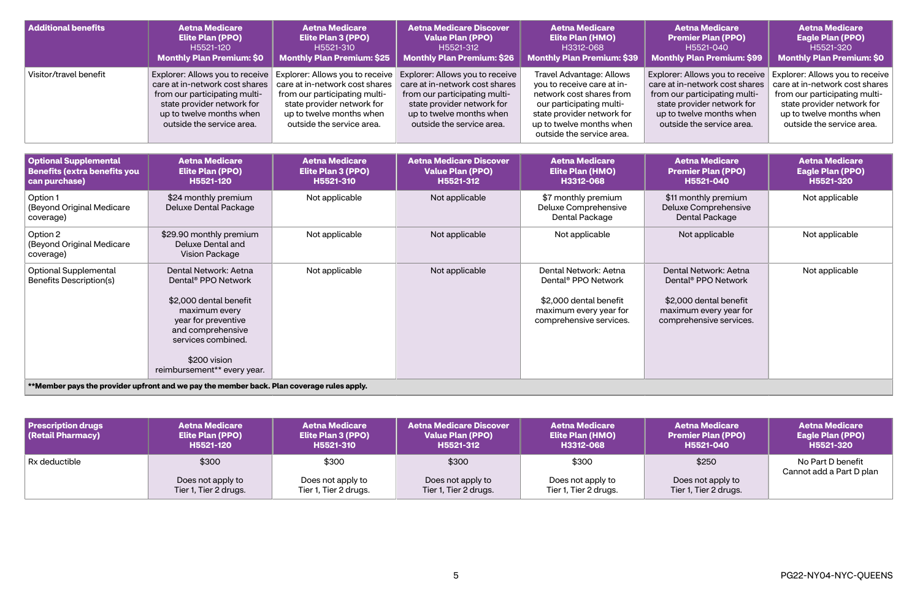| <b>Additional benefits</b> | <b>Aetna Medicare</b>                                                                                                                                  | <b>Aetna Medicare</b>                                                                                                                                  | <b>Aetna Medicare Discover</b>                                                                                                                                                                                                                                | <b>Aetna Medicare</b>                                                                                                                                                                                        | <b>Aetna Medicare</b>                                                                                                                                                                     | <b>Aetna Medicare</b>                                                                                                                                                                     |
|----------------------------|--------------------------------------------------------------------------------------------------------------------------------------------------------|--------------------------------------------------------------------------------------------------------------------------------------------------------|---------------------------------------------------------------------------------------------------------------------------------------------------------------------------------------------------------------------------------------------------------------|--------------------------------------------------------------------------------------------------------------------------------------------------------------------------------------------------------------|-------------------------------------------------------------------------------------------------------------------------------------------------------------------------------------------|-------------------------------------------------------------------------------------------------------------------------------------------------------------------------------------------|
|                            | <b>Elite Plan (PPO)</b>                                                                                                                                | <b>Elite Plan 3 (PPO)</b>                                                                                                                              | <b>Value Plan (PPO)</b>                                                                                                                                                                                                                                       | <b>Elite Plan (HMO)</b>                                                                                                                                                                                      | <b>Premier Plan (PPO)</b>                                                                                                                                                                 | <b>Eagle Plan (PPO)</b>                                                                                                                                                                   |
|                            | H5521-120                                                                                                                                              | H5521-310                                                                                                                                              | H5521-312                                                                                                                                                                                                                                                     | H3312-068                                                                                                                                                                                                    | H5521-040                                                                                                                                                                                 | H5521-320                                                                                                                                                                                 |
|                            | <b>Monthly Plan Premium: \$0</b>                                                                                                                       | <b>Monthly Plan Premium: \$25</b>                                                                                                                      | <b>Monthly Plan Premium: \$26</b>                                                                                                                                                                                                                             | Monthly Plan Premium: \$39                                                                                                                                                                                   | Monthly Plan Premium: \$99                                                                                                                                                                | <b>Monthly Plan Premium: \$0</b>                                                                                                                                                          |
| Visitor/travel benefit     | care at in-network cost shares<br>from our participating multi-<br>state provider network for<br>up to twelve months when<br>outside the service area. | care at in-network cost shares<br>from our participating multi-<br>state provider network for<br>up to twelve months when<br>outside the service area. | Explorer: Allows you to receive   Explorer: Allows you to receive   Explorer: Allows you to receive<br>care at in-network cost shares<br>from our participating multi-<br>state provider network for<br>up to twelve months when<br>outside the service area. | <b>Travel Advantage: Allows</b><br>you to receive care at in-<br>network cost shares from<br>our participating multi-<br>state provider network for<br>up to twelve months when<br>outside the service area. | Explorer: Allows you to receive<br>care at in-network cost shares<br>from our participating multi-<br>state provider network for<br>up to twelve months when<br>outside the service area. | Explorer: Allows you to receive<br>care at in-network cost shares<br>from our participating multi-<br>state provider network for<br>up to twelve months when<br>outside the service area. |

| <b>Optional Supplemental</b><br><b>Benefits (extra benefits you</b><br>can purchase) | <b>Aetna Medicare</b><br>Elite Plan (PPO)<br>H5521-120                                                                                                                                                               | <b>Aetna Medicare</b><br><b>Elite Plan 3 (PPO)</b><br>H5521-310 | <b>Aetna Medicare Discover</b><br><b>Value Plan (PPO)</b><br>H5521-312 | <b>Aetna Medicare</b><br><b>Elite Plan (HMO)</b><br>H3312-068                                                                           | <b>Aetna Medicare</b><br><b>Premier Plan (PPO)</b><br>H5521-040                                                                         | <b>Aetna Medicare</b><br><b>Eagle Plan (PPO)</b><br>H5521-320 |
|--------------------------------------------------------------------------------------|----------------------------------------------------------------------------------------------------------------------------------------------------------------------------------------------------------------------|-----------------------------------------------------------------|------------------------------------------------------------------------|-----------------------------------------------------------------------------------------------------------------------------------------|-----------------------------------------------------------------------------------------------------------------------------------------|---------------------------------------------------------------|
| Option 1<br>(Beyond Original Medicare<br>coverage)                                   | \$24 monthly premium<br>Deluxe Dental Package                                                                                                                                                                        | Not applicable                                                  | Not applicable                                                         | \$7 monthly premium<br>Deluxe Comprehensive<br>Dental Package                                                                           | \$11 monthly premium<br>Deluxe Comprehensive<br>Dental Package                                                                          | Not applicable                                                |
| Option 2<br>(Beyond Original Medicare<br>coverage)                                   | \$29.90 monthly premium<br>Deluxe Dental and<br><b>Vision Package</b>                                                                                                                                                | Not applicable                                                  | Not applicable                                                         | Not applicable                                                                                                                          | Not applicable                                                                                                                          | Not applicable                                                |
| <b>Optional Supplemental</b><br><b>Benefits Description(s)</b>                       | Dental Network: Aetna<br>Dental <sup>®</sup> PPO Network<br>\$2,000 dental benefit<br>maximum every<br>year for preventive<br>and comprehensive<br>services combined.<br>\$200 vision<br>reimbursement** every year. | Not applicable                                                  | Not applicable                                                         | Dental Network: Aetna<br>Dental <sup>®</sup> PPO Network<br>\$2,000 dental benefit<br>maximum every year for<br>comprehensive services. | Dental Network: Aetna<br>Dental <sup>®</sup> PPO Network<br>\$2,000 dental benefit<br>maximum every year for<br>comprehensive services. | Not applicable                                                |
|                                                                                      | **Member pays the provider upfront and we pay the member back. Plan coverage rules apply.                                                                                                                            |                                                                 |                                                                        |                                                                                                                                         |                                                                                                                                         |                                                               |

| <b>Prescription drugs</b><br><b>(Retail Pharmacy)</b> | <b>Aetna Medicare</b><br><b>Elite Plan (PPO)</b><br>H5521-120 | <b>Aetna Medicare</b><br><b>Elite Plan 3 (PPO)</b><br>H5521-310 | <b>Aetna Medicare Discover</b><br><b>Value Plan (PPO)</b><br>H5521-312 | <b>Aetna Medicare</b><br><b>Elite Plan (HMO)</b><br>H3312-068 | <b>Aetna Medicare</b><br><b>Premier Plan (PPO)</b><br>H5521-040 | <b>Aetna Medicare</b><br><b>Eagle Plan (PPO)</b><br>H5521-320 |
|-------------------------------------------------------|---------------------------------------------------------------|-----------------------------------------------------------------|------------------------------------------------------------------------|---------------------------------------------------------------|-----------------------------------------------------------------|---------------------------------------------------------------|
| Rx deductible                                         | \$300                                                         | \$300                                                           | \$300                                                                  | \$300                                                         | \$250                                                           | No Part D benefit<br>Cannot add a Part D plan                 |
|                                                       | Does not apply to<br>Tier 1, Tier 2 drugs.                    | Does not apply to<br>Tier 1, Tier 2 drugs.                      | Does not apply to<br>Tier 1, Tier 2 drugs.                             | Does not apply to<br>Tier 1, Tier 2 drugs.                    | Does not apply to<br>Tier 1, Tier 2 drugs.                      |                                                               |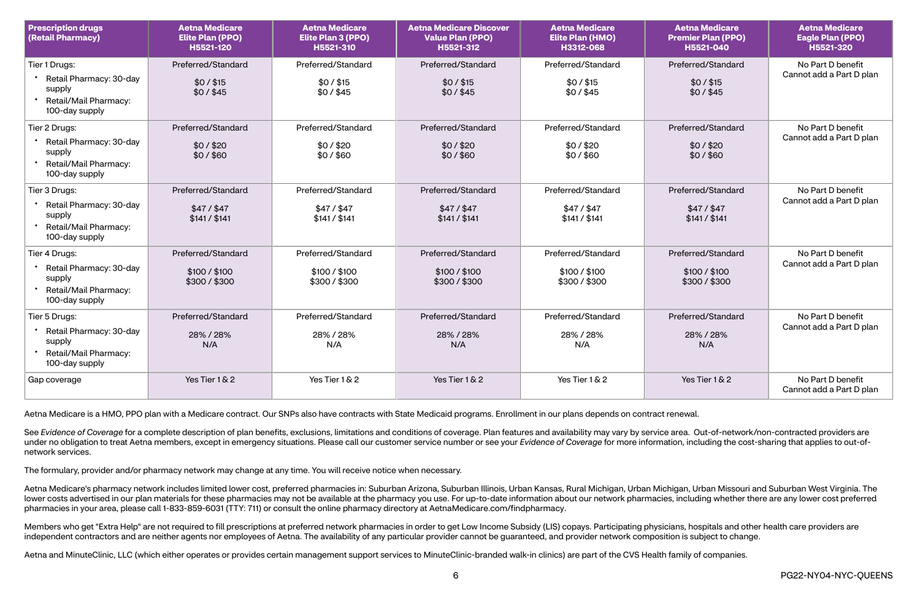| <b>Prescription drugs</b><br>(Retail Pharmacy)                                                | <b>Aetna Medicare</b><br><b>Elite Plan (PPO)</b><br>H5521-120 | <b>Aetna Medicare</b><br>Elite Plan 3 (PPO)<br>H5521-310 | <b>Aetna Medicare Discover</b><br><b>Value Plan (PPO)</b><br>H5521-312 | <b>Aetna Medicare</b><br><b>Elite Plan (HMO)</b><br>H3312-068 | <b>Aetna Medicare</b><br><b>Premier Plan (PPO)</b><br>H5521-040 | <b>Aetna Medicare</b><br><b>Eagle Plan (PPO)</b><br>H5521-320 |
|-----------------------------------------------------------------------------------------------|---------------------------------------------------------------|----------------------------------------------------------|------------------------------------------------------------------------|---------------------------------------------------------------|-----------------------------------------------------------------|---------------------------------------------------------------|
| Tier 1 Drugs:<br>Retail Pharmacy: 30-day<br>supply<br>Retail/Mail Pharmacy:<br>100-day supply | Preferred/Standard<br>$$0/$ $$15$<br>$$0/$ \$45               | Preferred/Standard<br>\$0/\$15<br>$$0/$ \$45             | Preferred/Standard<br>$$0/$ $$15$<br>$$0/$ $$45$                       | Preferred/Standard<br>$$0/$ $$15$<br>$$0/$ $$45$              | Preferred/Standard<br>\$0/\$15<br>$$0/$ \$45                    | No Part D benefit<br>Cannot add a Part D plan                 |
| Tier 2 Drugs:<br>Retail Pharmacy: 30-day<br>supply<br>Retail/Mail Pharmacy:<br>100-day supply | Preferred/Standard<br>\$0/\$20<br>\$0/\$60                    | Preferred/Standard<br>\$0/\$20<br>\$0/\$60               | Preferred/Standard<br>\$0/\$20<br>\$0/\$60                             | Preferred/Standard<br>\$0/\$20<br>\$0/\$60                    | Preferred/Standard<br>\$0/\$20<br>$$0/$ \$60                    | No Part D benefit<br>Cannot add a Part D plan                 |
| Tier 3 Drugs:<br>Retail Pharmacy: 30-day<br>supply<br>Retail/Mail Pharmacy:<br>100-day supply | Preferred/Standard<br>$$47/$ \$47<br>\$141 / \$141            | Preferred/Standard<br>$$47/$ \$47<br>\$141 / \$141       | Preferred/Standard<br>\$47/\$47<br>\$141 / \$141                       | Preferred/Standard<br>$$47/$ \$47<br>\$141 / \$141            | Preferred/Standard<br>$$47/$ \$47<br>\$141 / \$141              | No Part D benefit<br>Cannot add a Part D plan                 |
| Tier 4 Drugs:<br>Retail Pharmacy: 30-day<br>supply<br>Retail/Mail Pharmacy:<br>100-day supply | Preferred/Standard<br>\$100 / \$100<br>\$300/\$300            | Preferred/Standard<br>\$100 / \$100<br>\$300/\$300       | Preferred/Standard<br>\$100 / \$100<br>\$300/\$300                     | Preferred/Standard<br>\$100 / \$100<br>\$300 / \$300          | Preferred/Standard<br>\$100 / \$100<br>\$300/\$300              | No Part D benefit<br>Cannot add a Part D plan                 |
| Tier 5 Drugs:<br>Retail Pharmacy: 30-day<br>supply<br>Retail/Mail Pharmacy:<br>100-day supply | Preferred/Standard<br>28% / 28%<br>N/A                        | Preferred/Standard<br>28% / 28%<br>N/A                   | Preferred/Standard<br>28% / 28%<br>N/A                                 | Preferred/Standard<br>28% / 28%<br>N/A                        | Preferred/Standard<br>28% / 28%<br>N/A                          | No Part D benefit<br>Cannot add a Part D plan                 |
| Gap coverage                                                                                  | Yes Tier 1 & 2                                                | Yes Tier 1 & 2                                           | Yes Tier 1 & 2                                                         | Yes Tier 1 & 2                                                | Yes Tier 1 & 2                                                  | No Part D benefit<br>Cannot add a Part D plan                 |

See Evidence of Coverage for a complete description of plan benefits, exclusions, limitations and conditions of coverage. Plan features and availability may vary by service area. Out-of-network/non-contracted providers are under no obligation to treat Aetna members, except in emergency situations. Please call our customer service number or see your Evidence of Coverage for more information, including the cost-sharing that applies to out-ofnetwork services.

Aetna Medicare is a HMO, PPO plan with a Medicare contract. Our SNPs also have contracts with State Medicaid programs. Enrollment in our plans depends on contract renewal.

The formulary, provider and/or pharmacy network may change at any time. You will receive notice when necessary.

Aetna Medicare's pharmacy network includes limited lower cost, preferred pharmacies in: Suburban Arizona, Suburban Illinois, Urban Kansas, Rural Michigan, Urban Michigan, Urban Missouri and Suburban West Virginia. The lower costs advertised in our plan materials for these pharmacies may not be available at the pharmacy you use. For up-to-date information about our network pharmacies, including whether there are any lower cost preferred pharmacies in your area, please call 1-833-859-6031 (TTY: 711) or consult the online pharmacy directory at [AetnaMedicare.com/findpharmacy.](http://AetnaMedicare.com/findpharmacy)

Members who get "Extra Help" are not required to fill prescriptions at preferred network pharmacies in order to get Low Income Subsidy (LIS) copays. Participating physicians, hospitals and other health care providers are independent contractors and are neither agents nor employees of Aetna. The availability of any particular provider cannot be guaranteed, and provider network composition is subject to change.

Aetna and MinuteClinic, LLC (which either operates or provides certain management support services to MinuteClinic-branded walk-in clinics) are part of the CVS Health family of companies.